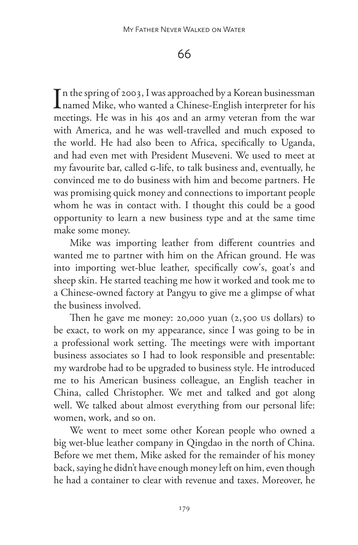## 66

In the spring of 2003, I was approached by a Korean businessman<br>named Mike, who wanted a Chinese-English interpreter for his n the spring of 2003, I was approached by a Korean businessman meetings. He was in his 40s and an army veteran from the war with America, and he was well-travelled and much exposed to the world. He had also been to Africa, specifically to Uganda, and had even met with President Museveni. We used to meet at my favourite bar, called g-life, to talk business and, eventually, he convinced me to do business with him and become partners. He was promising quick money and connections to important people whom he was in contact with. I thought this could be a good opportunity to learn a new business type and at the same time make some money.

Mike was importing leather from different countries and wanted me to partner with him on the African ground. He was into importing wet-blue leather, specifically cow's, goat's and sheep skin. He started teaching me how it worked and took me to a Chinese-owned factory at Pangyu to give me a glimpse of what the business involved.

Then he gave me money: 20,000 yuan (2,500 us dollars) to be exact, to work on my appearance, since I was going to be in a professional work setting. The meetings were with important business associates so I had to look responsible and presentable: my wardrobe had to be upgraded to business style. He introduced me to his American business colleague, an English teacher in China, called Christopher. We met and talked and got along well. We talked about almost everything from our personal life: women, work, and so on.

We went to meet some other Korean people who owned a big wet-blue leather company in Qingdao in the north of China. Before we met them, Mike asked for the remainder of his money back, saying he didn't have enough money left on him, even though he had a container to clear with revenue and taxes. Moreover, he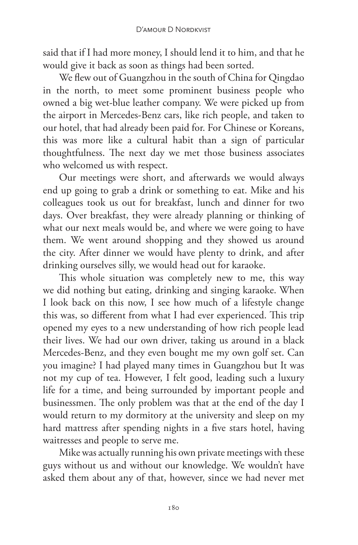said that if I had more money, I should lend it to him, and that he would give it back as soon as things had been sorted.

We flew out of Guangzhou in the south of China for Qingdao in the north, to meet some prominent business people who owned a big wet-blue leather company. We were picked up from the airport in Mercedes-Benz cars, like rich people, and taken to our hotel, that had already been paid for. For Chinese or Koreans, this was more like a cultural habit than a sign of particular thoughtfulness. The next day we met those business associates who welcomed us with respect.

Our meetings were short, and afterwards we would always end up going to grab a drink or something to eat. Mike and his colleagues took us out for breakfast, lunch and dinner for two days. Over breakfast, they were already planning or thinking of what our next meals would be, and where we were going to have them. We went around shopping and they showed us around the city. After dinner we would have plenty to drink, and after drinking ourselves silly, we would head out for karaoke.

This whole situation was completely new to me, this way we did nothing but eating, drinking and singing karaoke. When I look back on this now, I see how much of a lifestyle change this was, so different from what I had ever experienced. This trip opened my eyes to a new understanding of how rich people lead their lives. We had our own driver, taking us around in a black Mercedes-Benz, and they even bought me my own golf set. Can you imagine? I had played many times in Guangzhou but It was not my cup of tea. However, I felt good, leading such a luxury life for a time, and being surrounded by important people and businessmen. The only problem was that at the end of the day I would return to my dormitory at the university and sleep on my hard mattress after spending nights in a five stars hotel, having waitresses and people to serve me.

Mike was actually running his own private meetings with these guys without us and without our knowledge. We wouldn't have asked them about any of that, however, since we had never met